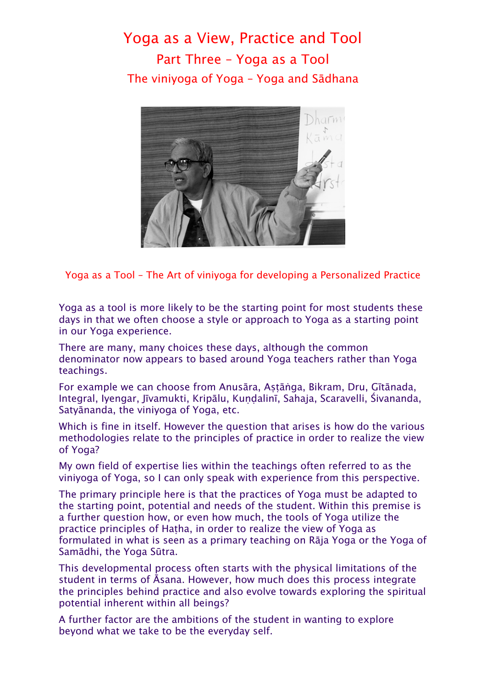## Yoga as a View, Practice and Tool Part Three – Yoga as a Tool The viniyoga of Yoga – Yoga and Sādhana



Yoga as a Tool – The Art of viniyoga for developing a Personalized Practice

Yoga as a tool is more likely to be the starting point for most students these days in that we often choose a style or approach to Yoga as a starting point in our Yoga experience.

There are many, many choices these days, although the common denominator now appears to based around Yoga teachers rather than Yoga teachings.

For example we can choose from Anusāra, Aṣṭāṅga, Bikram, Dru, Gītānada, Integral, Iyengar, Jīvamukti, Kripālu, Kundalinī, Sahaja, Scaravelli, Śivananda, Satyānanda, the viniyoga of Yoga, etc.

Which is fine in itself. However the question that arises is how do the various methodologies relate to the principles of practice in order to realize the view of Yoga?

My own field of expertise lies within the teachings often referred to as the viniyoga of Yoga, so I can only speak with experience from this perspective.

The primary principle here is that the practices of Yoga must be adapted to the starting point, potential and needs of the student. Within this premise is a further question how, or even how much, the tools of Yoga utilize the practice principles of Haṭha, in order to realize the view of Yoga as formulated in what is seen as a primary teaching on Rāja Yoga or the Yoga of Samādhi, the Yoga Sūtra.

This developmental process often starts with the physical limitations of the student in terms of Āsana. However, how much does this process integrate the principles behind practice and also evolve towards exploring the spiritual potential inherent within all beings?

A further factor are the ambitions of the student in wanting to explore beyond what we take to be the everyday self.